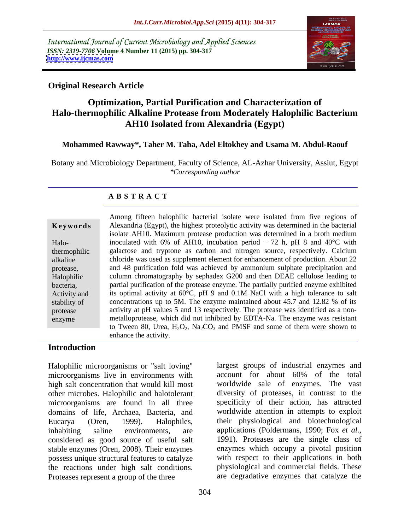International Journal of Current Microbiology and Applied Sciences *ISSN: 2319-7706* **Volume 4 Number 11 (2015) pp. 304-317 <http://www.ijcmas.com>**



## **Original Research Article**

## **Optimization, Partial Purification and Characterization of Halo-thermophilic Alkaline Protease from Moderately Halophilic Bacterium AH10 Isolated from Alexandria (Egypt)**

#### **Mohammed Rawway\*, Taher M. Taha, Adel Eltokhey and Usama M. Abdul-Raouf**

Botany and Microbiology Department, Faculty of Science, AL-Azhar University, Assiut, Egypt *\*Corresponding author*

#### **A B S T R A C T**

| Among fifteen halophilic bacterial isolate were isolated from five regions of            |
|------------------------------------------------------------------------------------------|
| Alexandria (Egypt), the highest proteolytic activity was determined in the bacterial     |
| isolate AH10. Maximum protease production was determined in a broth medium               |
| inoculated with 6% of AH10, incubation period $-72$ h, pH 8 and 40°C with                |
| galactose and tryptone as carbon and nitrogen source, respectively. Calcium              |
| chloride was used as supplement element for enhancement of production. About 22          |
| and 48 purification fold was achieved by ammonium sulphate precipitation and             |
| column chromatography by sephadex G200 and then DEAE cellulose leading to                |
| partial purification of the protease enzyme. The partially purified enzyme exhibited     |
| its optimal activity at $60^{\circ}$ C, pH 9 and 0.1M NaCl with a high tolerance to salt |
| concentrations up to 5M. The enzyme maintained about 45.7 and 12.82 % of its             |
| activity at pH values 5 and 13 respectively. The protease was identified as a non-       |
| metalloprotease, which did not inhibited by EDTA-Na. The enzyme was resistant            |
| to Tween 80, Urea, $H_2O_2$ , $Na_2CO_3$ and PMSF and some of them were shown to         |
| enhance the activity.                                                                    |
|                                                                                          |

#### **Introduction**

Halophilic microorganisms or "salt loving" microorganisms live in environments with high salt concentration that would kill most worldwide sale of enzymes. The vast other microbes. Halophilic and halotolerant microorganisms are found in all three domains of life, Archaea, Bacteria, and Eucarya (Oren, 1999). Halophiles, their physiological and biotechnological inhabiting saline environments, are applications (Poldermans, 1990; Fox *et al.,*considered as good source of useful salt stable enzymes (Oren, 2008). Their enzymes possess unique structural features to catalyze the reactions under high salt conditions. Proteases represent a group of the three are degradative enzymes that catalyze the

worldwide attention in attempts to exploit 1991). Proteases are the single class of enzymes which occupy a pivotal position with respect to their applications in both physiological and commercial fields. These

largest groups of industrial enzymes and account for about 60% of the total

diversity of proteases, in contrast to the specificity of their action, has attracted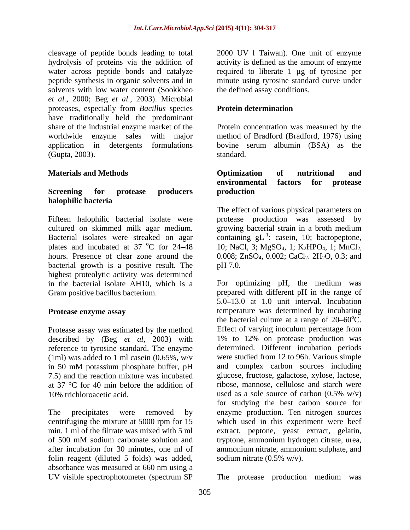cleavage of peptide bonds leading to total 2000 UV l Taiwan). One unit of enzyme hydrolysis of proteins via the addition of activity is defined as the amount of enzyme water across peptide bonds and catalyze peptide synthesis in organic solvents and in minute using tyrosine standard curve under solvents with low water content (Sookkheo *et al.,* 2000; Beg *et al.,* 2003). Microbial proteases, especially from *Bacillus* species have traditionally held the predominant share of the industrial enzyme market of the Protein concentration was measured by the worldwide enzyme sales with major method of Bradford (Bradford, 1976) using application in detergents formulations bovine serum albumin (BSA) as the (Gupta, 2003).

# **halophilic bacteria**

bacterial growth is a positive result. The pH 7.0. highest proteolytic activity was determined

Protease assay was estimated by the method described by (Beg *et al,* 2003) with reference to tyrosine standard. The enzyme (1ml) was added to 1 ml casein  $(0.65\% , w/v)$ 10% trichloroacetic acid. used as a sole source of carbon  $(0.5\% \text{ w/v})$ 

folin reagent (diluted 5 folds) was added, absorbance was measured at 660 nm using a required to liberate 1 µg of tyrosine per the defined assay conditions.

#### **Protein determination**

standard. **Executive Standard** 

#### **Materials and Methods Screening for protease producers Optimization of nutritional and environmental factors for protease production**

Fifteen halophilic bacterial isolate were protease production was assessed by cultured on skimmed milk agar medium. growing bacterial strain in a broth medium Bacterial isolates were streaked on agar containing  $gL^{-1}$ : casein, 10; bactopeptone, plates and incubated at 37 °C for 24–48 10; NaCl, 3; MgSO<sub>4</sub>, 1; K<sub>2</sub>HPO<sub>4</sub>, 1; MnCl<sub>2,</sub> hours. Presence of clear zone around the  $0.008$ ;  $ZnSO_4$ ,  $0.002$ ;  $CaCl_2$ .  $2H_2O$ ,  $0.3$ ; and The effect of various physical parameters on pH 7.0.

in the bacterial isolate AH10, which is a For optimizing pH, the medium was Gram positive bacillus bacterium. prepared with different pH in the range of **Protease enzyme assay** temperature was determined by incubating in 50 mM potassium phosphate buffer, pH 7.5) and the reaction mixture was incubated glucose, fructose, galactose, xylose, lactose, at 37 °C for 40 min before the addition of ribose, mannose, cellulose and starch were The precipitates were removed by enzyme production. Ten nitrogen sources centrifuging the mixture at 5000 rpm for 15 which used in this experiment were beef min. 1 ml of the filtrate was mixed with 5 ml extract, peptone, yeast extract, gelatin, of 500 mM sodium carbonate solution and tryptone, ammonium hydrogen citrate, urea, after incubation for 30 minutes, one ml of ammonium nitrate, ammonium sulphate, and 5.0 13.0 at 1.0 unit interval. Incubation the bacterial culture at a range of  $20-60^{\circ}$ C. Effect of varying inoculum percentage from 1% to 12% on protease production was determined. Different incubation periods were studied from 12 to 96h. Various simple and complex carbon sources including used as a sole source of carbon  $(0.5\%$  w/v) for studying the best carbon source for sodium nitrate (0.5% w/v).

UV visible spectrophotometer (spectrum SP The protease production medium was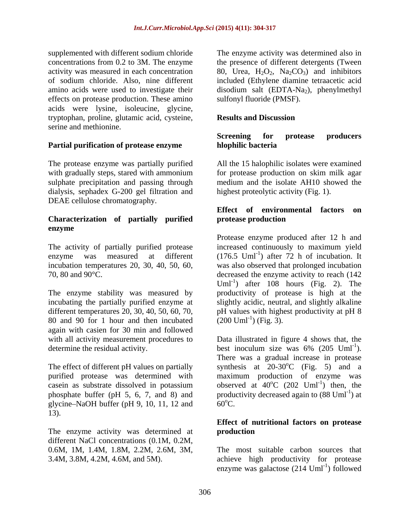supplemented with different sodium chloride The enzyme activity was determined also in concentrations from 0.2 to 3M. The enzyme the presence of different detergents (Tween activity was measured in each concentration  $80$ , Urea,  $H_2O_2$ ,  $Na_2CO_3$  and inhibitors of sodium chloride. Also, nine different included (Ethylene diamine tetraacetic acid amino acids were used to investigate their disodium salt (EDTA-Na2), phenylmethyl effects on protease production. These amino acids were lysine, isoleucine, glycine, tryptophan, proline, glutamic acid, cysteine, serine and methionine.

#### **Partial purification of protease enzyme**

The protease enzyme was partially purified All the 15 halophilic isolates were examined with gradually steps, stared with ammonium for protease production on skim milk agar sulphate precipitation and passing through dialysis, sephadex G-200 gel filtration and DEAE cellulose chromatography.

#### **Characterization of partially purified enzyme**

The activity of partially purified protease

The enzyme stability was measured by incubating the partially purified enzyme at 80 and 90 for 1 hour and then incubated  $(200 \text{ Uml}^{-1})$  (Fig. 3). again with casien for 30 min and followed determine the residual activity. best inoculum size was  $6\%$   $(205 \text{ Uml}^{-1})$ .

casein as substrate dissolved in potassium glycine–NaOH buffer (pH 9, 10, 11, 12 and  $60^{\circ}$ C. 13).

The enzyme activity was determined at **production** different NaCl concentrations (0.1M, 0.2M, 0.6M, 1M, 1.4M, 1.8M, 2.2M, 2.6M, 3M,

sulfonyl fluoride (PMSF).

## **Results and Discussion**

#### **Screening for protease producers hlophilic bacteria**

medium and the isolate AH10 showed the highest proteolytic activity (Fig. 1).

#### **Effect of environmental factors on protease production**

enzyme was measured at different  $(176.5 \text{ Uml}^{-1})$  after 72 h of incubation. It incubation temperatures 20, 30, 40, 50, 60, was also observed that prolonged incubation 70, 80 and 90°C. decreased the enzyme activity to reach (142 incubating the partially purified enzyme at slightly acidic, neutral, and slightly alkaline different temperatures 20, 30, 40, 50, 60, 70, pH values with highest productivity at pH 8 Protease enzyme produced after 12 h and increased continuously to maximum yield Uml<sup>-1</sup>) after 108 hours (Fig. 2). The productivity of protease is high at the  $(200 \text{ Uml}^{-1})$  (Fig. 3). ) (Fig. 3).

with all activity measurement procedures to Data illustrated in figure 4 shows that, the The effect of different pH values on partially synthesis at  $20\text{-}30\text{°C}$  (Fig. 5) and a purified protease was determined with maximum production of enzyme was phosphate buffer (pH 5, 6, 7, and 8) and productivity decreased again to  $(88 \text{ Uml}^{-1})$  at best inoculum size was  $6\%$   $(205 \text{ Uml}^{-1})$ . ). There was a gradual increase in protease observed at  $40^{\circ}$ C (202 Uml<sup>-1</sup>) then, the  $\rm{^{\circ}C}$  (202 Uml<sup>-1</sup>) then, the ) then, the ) at  $60^{\circ}$ C.

#### **Effect of nutritional factors on protease production**

3.4M, 3.8M, 4.2M, 4.6M, and 5M). achieve high productivity for protease The most suitable carbon sources that enzyme was galactose  $(214 \text{ Uml}^{-1})$  followed ) followed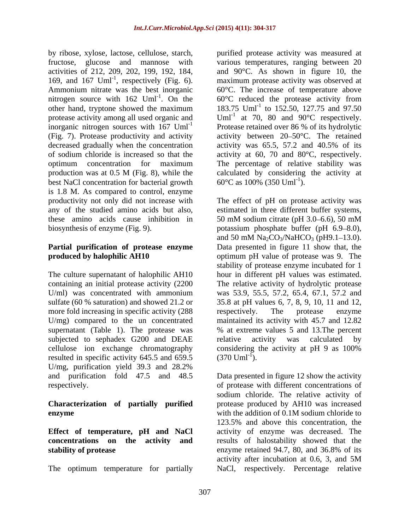by ribose, xylose, lactose, cellulose, starch, activities of 212, 209, 202, 199, 192, 184, 169, and 167  $Uml^{-1}$ , respectively (Fig. 6).<br>Ammonium nitrate was the best inorganic inorganic nitrogen sources with  $167 \text{ Uml}^{-1}$  Protease retained over 86 % of its hydrolytic production was at 0.5 M (Fig. 8), while the best NaCl concentration for bacterial growth  $60^{\circ}$ C as 100% (350 Uml<sup>-1</sup>). is 1.8 M. As compared to control, enzyme these amino acids cause inhibition in 50 mM sodium citrate (pH 3.0–6.6), 50 mM

The culture supernatant of halophilic AH10 containing an initial protease activity (2200 more fold increasing in specific activity (288 respectively. The protease enzyme subjected to sephadex G200 and DEAE relative activity was calculated by resulted in specific activity  $645.5$  and  $659.5$  (370 Uml<sup>-1</sup>). U/mg, purification yield 39.3 and 28.2% and purification fold 47.5 and 48.5

# **Characterization of partially purified**

# **stability of protease** enzyme retained 94.7, 80, and 36.8% of its

The optimum temperature for partially NaCl, respectively. Percentage relative

fructose, glucose and mannose with various temperatures, ranging between 20 , respectively (Fig. 6). maximum protease activity was observed at Ammonium nitrate was the best inorganic 60°C. The increase of temperature above nitrogen source with  $162 \text{ Uml}^{-1}$ . On the  $60^{\circ}$ C reduced the protease activity from other hand, tryptone showed the maximum  $183.75$  Uml<sup>-1</sup> to  $152.50$ ,  $127.75$  and  $97.50$ protease activity among all used organic and  $Uml^{-1}$  at 70, 80 and 90 $^{\circ}$ C respectively. (Fig. 7). Protease productivity and activity activity between  $20-50$ °C. The retained decreased gradually when the concentration activity was 65.5, 57.2 and 40.5% of its of sodium chloride is increased so that the activity at 60, 70 and 80°C, respectively. optimum concentration for maximum The percentage of relative stability was purified protease activity was measured at and 90°C. As shown in figure 10, the Protease retained over 86 % of its hydrolytic The percentage of relative stability was calculated by considering the activity at  $60^{\circ}$ C as  $100\%$  (350 Uml<sup>-1</sup>). ).

productivity not only did not increase with The effect of pH on protease activity was any of the studied amino acids but also, estimated in three different buffer systems, biosynthesis of enzyme (Fig. 9). potassium phosphate buffer (pH 6.9–8.0), **Partial purification of protease enzyme** Data presented in figure 11 show that, the **produced by halophilic AH10** optimum pH value of protease was 9. The U/ml) was concentrated with ammonium was 53.9, 55.5, 57.2, 65.4, 67.1, 57.2 and sulfate (60 % saturation) and showed 21.2 or 35.8 at pH values 6, 7, 8, 9, 10, 11 and 12, U/mg) compared to the un concentrated maintained its activity with 45.7 and 12.82 supernatant (Table 1). The protease was % at extreme values 5 and 13.The percent cellulose ion exchange chromatography considering the activity at pH 9 as 100% 50 mM sodium citrate (pH 3.0–6.6), 50 mM and 50 mM  $\text{Na}_2\text{CO}_3/\text{NaHCO}_3$  (pH9.1–13.0). stability of protease enzyme incubated for 1 hour in different pH values was estimated. The relative activity of hydrolytic protease respectively. The protease enzyme relative activity was calculated by  $(370 \text{ Uml}^{\text{-1}})$ . ).

respectively. of protease with different concentrations of **enzyme**  with the addition of 0.1M sodium chloride to **Effect of temperature, pH and NaCl** activity of enzyme was decreased. The **concentrations on the activity and** results of halostability showed that the Data presented in figure 12 show the activity sodium chloride. The relative activity of protease produced by AH10 was increased 123.5% and above this concentration, the enzyme retained 94.7, 80, and 36.8% of its activity after incubation at 0.6, 3, and 5M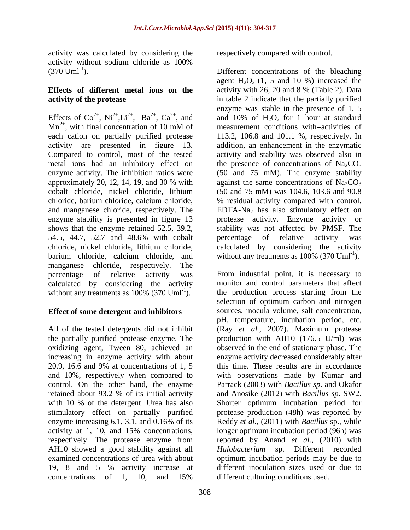activity was calculated by considering the activity without sodium chloride as 100%

# **Effects of different metal ions on the**

 $Mn^{2+}$ , with final concentration of 10 mM of approximately 20, 12, 14, 19, and 30 % with enzyme stability is presented in figure 13 by protease activity. Enzyme activity or 54.5, 44.7, 52.7 and 48.6% with cobalt barium chloride, calcium chloride, and without any treatments as  $100\%$  (370 Uml<sup>-1</sup>). manganese chloride, respectively. The calculated by considering the activity

## **Effect of some detergent and inhibitors**

20.9, 16.6 and 9% at concentrations of 1, 5 and 10%, respectively when compared to concentrations of 1, 10, and 15%

respectively compared with control.

 $(370 \text{ Uml}^{-1})$ . Different concentrations of the bleaching **activity of the protease in table 2 indicate that the partially purified** Effects of  $\text{Co}^{2+}$ ,  $\text{Ni}^{2+}, \text{Li}^{2+}$ ,  $\text{Ba}^{2+}$ ,  $\text{Ca}^{2+}$ , and and 10% of H<sub>2</sub>O<sub>2</sub> for 1 hour at standard , with final concentration of 10 mM of each cation on partially purified protease 113.2, 106.8 and 101.1 %, respectively. In activity are presented in figure 13. addition, an enhancement in the enzymatic Compared to control, most of the tested activity and stability was observed also in metal ions had an inhibitory effect on the presence of concentrations of  $\text{Na}_2\text{CO}_3$ enzyme activity. The inhibition ratios were (50 and 75 mM). The enzyme stability cobalt chloride, nickel chloride, lithium (50 and 75 mM) was 104.6, 103.6 and 90.8 chloride, barium chloride, calcium chloride, % residual activity compared with control. and manganese chloride, respectively. The EDTA-Na<sub>2</sub> has also stimulatory effect on shows that the enzyme retained 52.5, 39.2, stability was not affected by PMSF. The chloride, nickel chloride, lithium chloride, calculated by considering the activity agent  $H_2O_2$  (1, 5 and 10 %) increased the activity with 26, 20 and 8 % (Table 2). Data enzyme was stable in the presence of 1, 5 measurement conditions with-activities of against the same concentrations of  $Na<sub>2</sub>CO<sub>3</sub>$ protease activity. Enzyme activity percentage of relative activity was ).

percentage of relative activity was From industrial point, it is necessary to without any treatments as  $100\%$  (370 Uml<sup>-1</sup>). the production process starting from the All of the tested detergents did not inhibit (Ray *et al.,* 2007). Maximum protease the partially purified protease enzyme. The production with AH10 (176.5 U/ml) was oxidizing agent, Tween 80, achieved an observed in the end of stationary phase. The increasing in enzyme activity with about enzyme activity decreased considerably after control. On the other hand, the enzyme Parrack (2003) with *Bacillus sp*. and Okafor retained about 93.2 % of its initial activity and Anosike (2012) with *Bacillus sp*. SW2. with 10 % of the detergent. Urea has also Shorter optimum incubation period for stimulatory effect on partially purified protease production (48h) was reported by enzyme increasing 6.1, 3.1, and 0.16% of its Reddy *et al.*, (2011) with *Bacillus* sp., while activity at 1, 10, and 15% concentrations, longer optimum incubation period (96h) was respectively. The protease enzyme from reported by Anand *et al.,* (2010) with AH10 showed a good stability against all *Halobacterium* sp. Different recorded examined concentrations of urea with about optimum incubation periods may be due to 19, 8 and 5 % activity increase at different inoculation sizes used or due to monitor and control parameters that affect selection of optimum carbon and nitrogen sources, inocula volume, salt concentration, pH, temperature, incubation period, etc. this time. These results are in accordance with observations made by Kumar and Reddy *et al.,* (2011) with *Bacillus* sp., while different culturing conditions used.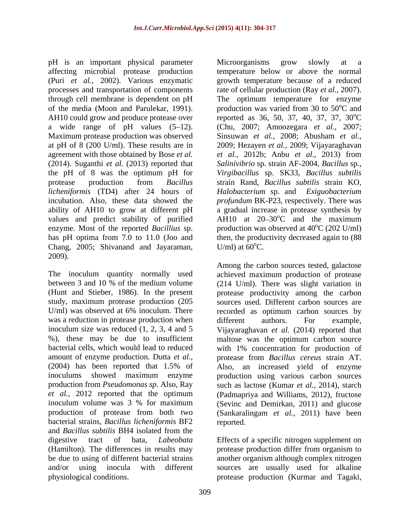pH is an important physical parameter Microorganisms grow slowly at a (Puri *et al.,* 2002). Various enzymatic processes and transportation of components a wide range of  $pH$  values  $(5-12)$ . values and predict stability of purified enzyme. Most of the reported *Bacillius* sp. Chang, 2005; Shivanand and Jayaraman,  $U/ml$ ) at  $60^{\circ}C$ .<br>2009).

was a reduction in protease production when different authors. For example, amount of enzyme production. Dutta *et al.,* production from *Pseudomonas sp*. Also, Ray bacterial strains, *Bacillus licheniformis* BF2 and *Bacillus subtilis* BH4 isolated from the digestive tract of bata, *Labeobata* Effects of a specific nitrogen supplement on (Hamilton). The differences in results may protease production differ from organism to be due to using of different bacterial strains another organism although complex nitrogen and/or using inocula with different sources are usually used for alkaline

affecting microbial protease production temperature below or above the normal through cell membrane is dependent on pH The optimum temperature for enzyme of the media (Moon and Parulekar, 1991). production was varied from 30 to  $50^{\circ}$ C and AH10 could grow and produce protease over reported as 36, 50, 37, 40, 37, 37, 30<sup>o</sup>C Maximum protease production was observed Sinsuwan *et al.,* 2008; Abusham *et al.,* at pH of 8 (200 U/ml). These results are in 2009; Hezayen *et al.,* 2009; Vijayaraghavan agreement with those obtained by Bose *et al. et al.,* 2012b; Anbu *et al.,* 2013) from (2014). Suganthi *et al.* (2013) reported that *Salinivibrio* sp. strain AF-2004, *Bacillus* sp., the pH of 8 was the optimum pH for *Virgibacillus* sp. SK33, *Bacillus subtilis* protease production from *Bacillus licheniformis* (TD4) after 24 hours of *Halobacterium* sp.and *Exiguobacterium*  incubation. Also, these data showed the *profundum* BK-P23, respectively. There was ability of AH10 to grow at different pH a gradual increase in protease synthesis by has pH optima from 7.0 to 11.0 (Joo and then, the productivity decreased again to (88 Microorganisms grow slowly at a growth temperature because of a reduced rate of cellular production (Ray *et al.,* 2007). (Chu, 2007; Amoozegara *et al.,* 2007; strain Rand, *Bacillus subtilis* strain KO, AH10 at  $20-30$ <sup>o</sup>C and the maximum production was observed at  $40^{\circ}$ C (202 U/ml) U/ml) at  $60^{\circ}$ C.

The inoculum quantity normally used achieved maximum production of protease between 3 and 10 % of the medium volume (214 U/ml). There was slight variation in (Hunt and Stieber, 1986). In the present protease productivity among the carbon study, maximum protease production (205 sources used. Different carbon sources are U/ml) was observed at 6% inoculum. There recorded as optimum carbon sources by inoculum size was reduced (1, 2, 3, 4 and 5 Vijayaraghavan *et al.* (2014) reported that %), these may be due to insufficient maltose was the optimum carbon source bacterial cells, which would lead to reduced with 1% concentration for production of (2004) has been reported that 1.5% of Also, an increased yield of enzyme inoculums showed maximum enzyme production using various carbon sources *et al.,* 2012 reported that the optimum (Padmapriya and Williams, 2012), fructose inoculum volume was 3 % for maximum (Sevinc and Demirkan, 2011) and glucose production of protease from both two (Sankaralingam *et al.,* 2011) have been Among the carbon sources tested, galactose different authors. For example, protease from *Bacillus cereus* strain AT. such as lactose (Kumar *et al.,* 2014), starch reported.

physiological conditions. protease production (Kurmar and Tagaki,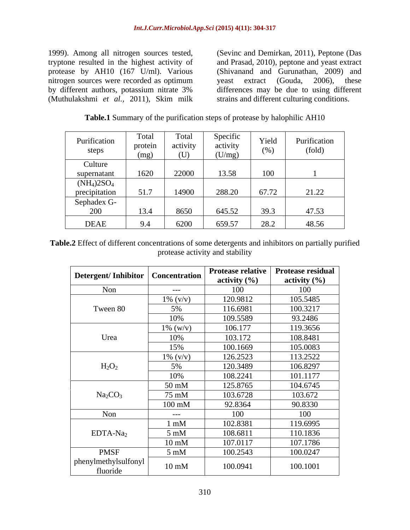1999). Among all nitrogen sources tested, (Sevinc and Demirkan, 2011), Peptone (Das tryptone resulted in the highest activity of and Prasad, 2010), peptoneand yeast extract protease by AH10 (167 U/ml). Various (Shivanand and Gurunathan, 2009) and nitrogen sources were recorded as optimum veast extract (Gouda, 2006), these by different authors, potassium nitrate 3% differences may be due to using different (Muthulakshmi *et al.,* 2011), Skim milk

yeast extract (Gouda, 2006), these strains and different culturing conditions.

| Table.1 Summary of the purification steps of protease by halophilic AH10 |
|--------------------------------------------------------------------------|
|--------------------------------------------------------------------------|

| Purification<br>steps | Total<br>protein<br>(mg) | $\sim$<br>Total<br>activity<br>$\sqrt{2}$ | Specific<br>activity<br>(U/mg) | Yield<br>(0/3)<br>$\sqrt{6}$ | Purification<br>(fold) |
|-----------------------|--------------------------|-------------------------------------------|--------------------------------|------------------------------|------------------------|
| Culture               |                          |                                           |                                |                              |                        |
| supernatant           | 1620                     | 22000                                     | 13.58                          | 100                          |                        |
| $(NH_4)2SO_4$         |                          |                                           |                                |                              |                        |
| precipitation         | 51.7                     | 14900                                     | 288.20                         | 67.72                        | 21.22                  |
| Sephadex G-           |                          |                                           |                                |                              |                        |
| 200                   | 13.4                     | 8650                                      | 645.52                         | 39.3                         | 47.53                  |
| <b>DEAE</b>           | 9.4                      | 6200                                      | 659.57                         | 28.2                         | 48.56                  |

**Table.2** Effect of different concentrations of some detergents and inhibitors on partially purified protease activity and stability

| Detergent/ Inhibitor   Concentration |                  |                          | Protease relative   Protease residual |
|--------------------------------------|------------------|--------------------------|---------------------------------------|
|                                      |                  | activity $(\frac{6}{6})$ | activity $(\%)$                       |
| Non                                  | $---$            | 100                      | 100                                   |
|                                      | $1\%$ (v/v)      | 120.9812                 | 105.5485                              |
| Tween 80                             | 5%               | 116.6981                 | 100.3217                              |
|                                      | 10%              | 109.5589                 | 93.2486                               |
|                                      | $1\%$ (w/v)      | 106.177                  | 119.3656                              |
| Urea                                 | 10%              | 103.172                  | 108.8481                              |
|                                      | 15%              | 100.1669                 | 105.0083                              |
|                                      | $1\%$ (v/v)      | 126.2523                 | 113.2522                              |
| $H_2O_2$                             | 5%               | 120.3489                 | 106.8297                              |
|                                      | 10%              | 108.2241                 | 101.1177                              |
|                                      | 50 mM            | 125.8765                 | 104.6745                              |
| Na <sub>2</sub> CO <sub>3</sub>      | 75 mM            | 103.6728                 | 103.672                               |
|                                      | $100 \text{ mM}$ | 92.8364                  | 90.8330                               |
| Non                                  | $---$            | 100                      | 100                                   |
|                                      | $1 \text{ mM}$   | 102.8381                 | 119.6995                              |
| $EDTA-Na2$                           | $5 \text{ mM}$   | 108.6811                 | 110.1836                              |
|                                      | $10 \text{ mM}$  | 107.0117                 | 107.1786                              |
| <b>PMSF</b>                          | $5 \text{ mM}$   | 100.2543                 | 100.0247                              |
| phenylmethylsulfonyl                 |                  |                          |                                       |
| fluoride                             | $10 \text{ mM}$  | 100.0941                 | 100.1001                              |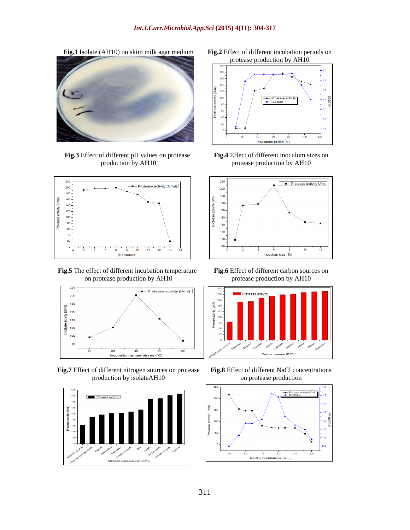**Fig.1** Isolate (AH10) on skim milk agar medium **Fig.2** Effect of different incubation periods on



**Fig.3** Effect of different pH values on protease



**Fig.5** The effect of different incubation temperature on protease production by AH10 protease production by AH10



**Fig.7** Effect of different nitrogen sources on protease



protease production by AH10



production by AH10 protease production by AH10 **Fig.4** Effect of different inoculum sizes on protease production by AH10



**Fig.6** Effect of different carbon sources on protease production by AH10



production by isolateAH10 on protease production **Fig.8** Effect of different NaCl concentrations on protease production

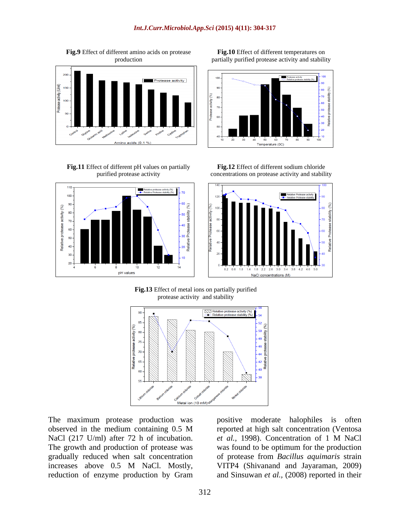

**Fig.9** Effect of different amino acids on protease

**Fig.11** Effect of different pH values on partially



production **partially purified protease activity and stability Fig.10** Effect of different temperatures on



purified protease activity concentrations on protease activity and stability **Fig.12** Effect of different sodium chloride



**Fig.13** Effect of metal ions on partially purified protease activity and stability



NaCl (217 U/ml) after 72 h of incubation. et al., 1998). Concentration of 1 M NaCl reduction of enzyme production by Gram and Sinsuwan *et al.,* (2008) reported in their

The maximum protease production was positive moderate halophiles is often observed in the medium containing 0.5 M The growth and production of protease was was found to be optimum for the production gradually reduced when salt concentration of protease from *Bacillus aquimaris* strain increases above 0.5 M NaCl. Mostly, reported at high salt concentration (Ventosa *et al.,* 1998). Concentration of 1 M NaCl VITP4 (Shivanand and Jayaraman, 2009)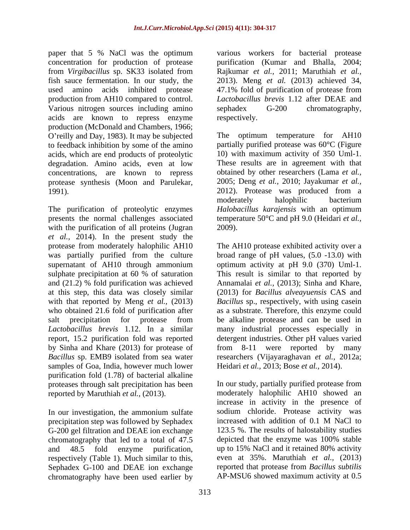paper that 5 % NaCl was the optimum various workers for bacterial protease concentration for production of protease purification (Kumar and Bhalla, 2004; from *Virgibacillus* sp. SK33 isolated from fish sauce fermentation. In our study, the 2013). Meng *et al.* (2013) achieved 34, used amino acids inhibited protease 47.1% fold of purification of protease from production from AH10 compared to control. Various nitrogen sources including amino sephadex G-200 chromatography, acids are known to repress enzyme production (McDonald and Chambers, 1966; O'reilly and Day, 1983). It may be subjected to feedback inhibition by some of the amino acids, which are end products of proteolytic degradation. Amino acids, even at low concentrations, are known to repress obtained by other researchers (Lama *et al.,* protease synthesis (Moon and Parulekar, 1991). 2012). Protease was produced from a

The purification of proteolytic enzymes *Halobacillus karajensis* with an optimum presents the normal challenges associated temperature 50°C and pH 9.0 (Heidari *et al.,* with the purification of all proteins (Jugran 2009). *et al.,* 2014). In the present study the sulphate precipitation at 60 % of saturation and (21.2) % fold purification was achieved samples of Goa, India, however much lower purification fold (1.78) of bacterial alkaline proteases through salt precipitation has been<br>reported by Maruthiah et al., (2013).

In our investigation, the ammonium sulfate sodium chloride. Protease activity was<br>precipitation step was followed by Sephadex increased with addition of 0.1 M NaCl to precipitation step was followed by Sephadex G-200 gel filtration and DEAE ion exchange 123.5 %. The results of halostability studies<br>chromatography that led to a total of 47.5 depicted that the enzyme was 100% stable chromatography that led to a total of 47.5 respectively (Table 1). Much similar to this, Sephadex G-100 and DEAE ion exchange chromatography have been used earlier by

Rajkumar *et al.,* 2011; Maruthiah *et al.,* 47.1% fold of purification of protease from *Lactobacillus brevis* 1.12 after DEAE and sephadex G-200 chromatography, respectively.

The optimum temperature for AH10 partially purified protease was 60°C (Figure 10) with maximum activity of 350 Uml-1. These results are in agreement with that 2005; Deng *et al.,* 2010; Jayakumar *et al.,* moderately halophilic bacterium 2009).

protease from moderately halophilic AH10 The AH10 protease exhibited activity over a was partially purified from the culture broad range of pH values, (5.0 -13.0) with supernatant of AH10 through ammonium optimum activity at pH 9.0 (370) Uml-1. at this step, this data was closely similar (2013) for *Bacillus alveayuensis* CAS and with that reported by Meng *et al.,* (2013) *Bacillus* sp., respectively, with using casein who obtained 21.6 fold of purification after as a substrate. Therefore, this enzyme could salt precipitation for protease from be alkaline protease and can be used in *Lactobacillus brevis* 1.12. In a similar many industrial processes especially in report, 15.2 purification fold was reported detergent industries. Other pH values varied by Sinha and Khare (2013) for protease of from 8-11 were reported by many *Bacillus* sp. EMB9 isolated from sea water researchers (Vijayaraghavan *et al.,* 2012a; This result is similar to that reported by Annamalai *et al.,* (2013); Sinha and Khare, Heidari *et al.,* 2013; Bose *et al.,* 2014).

reported by Maruthiah *et al.,* (2013). moderately halophilic AH10 showed an and 48.5 fold enzyme purification, up to 15% NaCl and it retained 80% activity In our study, partially purified protease from increase in activity in the presence of sodium chloride. Protease activity was increased with addition of 0.1 M NaCl to 123.5 %. The results of halostability studies depicted that the enzyme was 100% stable even at 35%. Maruthiah *et al.,* (2013) reported that protease from *Bacillus subtilis* AP-MSU6 showed maximum activity at 0.5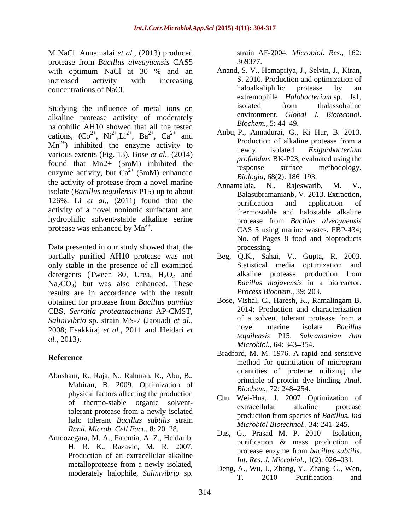M NaCl. Annamalai *et al.,* (2013) produced protease from *Bacillus alveayuensis* CAS5 with optimum NaCl at 30 % and an

alkaline protease activity of moderately<br>halankilia AH10 shared that all the test d halophilic AH10 showed that all the tested cations,  $(Co^{2+}$ ,  $Ni^{2+}, Li^{2+}$ ,  $Ba^{2+}$ ,  $Ca^{2+}$  and Anbu, P., Annadural, G., K1 Hur, B. 2013. entions,  $(60^\circ, 11^\circ, 21^\circ, 5a^\circ)$ ,  $(80^\circ, 11^\circ, 21^\circ)$ ,  $(80^\circ, 11^\circ, 21^\circ)$ <br>Mn<sup>2+</sup>) inhibited the enzyme activity to newly isolated *Exiguobacterium* various extents (Fig. 13). Bose *et al.,* (2014) found that  $Mn2+$  (5mM) inhibited the *projunual* BK-125, evaluated using the response surface methodology. enzyme activity, but  $Ca^{2+}$  (5mM) enhanced<br>Biologia, 68(2): 186–193. the activity of protease from a novel marine<br>Annamalaia, N., Rajeswarib, M. V., isolate (*Bacillus tequilensis* P15) up to about 126%. Li *et al.,* (2011) found that the activity of a novel nonionic surfactant and hydrophilic solvent-stable alkaline serine protease from Bacillus alveayuensis

Data presented in our study showed that, the processing. partially purified AH10 protease was not Beg, Q.K., Sahai, V., Gupta, R. 2003. only stable in the presence of all examined detergents (Tween 80, Urea,  $H_2O_2$  and alkaline protease production from  $Na<sub>2</sub>CO<sub>3</sub>$  but was also enhanced. These results are in accordance with the result obtained for protease from *Bacillus pumilus* CBS, *Serratia proteamaculans* AP-CMST, *Salinivibrio* sp. strain MS-7 (Jaouadi *et al.*,<br>
2008: Esekliga et al. 2011 and Heideri et al., novel marine isolate Bacillus 2008; Esakkiraj *et al.,* 2011 and Heidari *et* 

- Abusham, R., Raja, N., Rahman, R., Abu, B., Mahiran, B. 2009. Optimization of Biochem., 72: 248–254. physical factors affecting the production halo tolerant *Bacillus subtilis* strain *Rand. Microb. Cell Fact., 8: 20–28.*<br>Das. G., Prasad M. P. 2010 Isolation.
- Production of an extracellular alkaline metalloprotease from a newly isolated,  $\frac{m}{\text{Dong A}} \frac{W_{11}}{W_{11}} \frac{1}{I} \frac{7}{I} \frac{7}{I} \frac{1}{I} \frac{7}{I} \frac{1}{I} \frac{7}{I} \frac{1}{I} \frac{7}{I} \frac{1}{I} \frac{7}{I} \frac{1}{I} \frac{7}{I} \frac{1}{I} \frac{7}{I} \frac{1}{I} \frac{7}{I} \frac{1}{I} \frac{7}{I} \frac{1}{I} \frac{7}{I} \frac{1}{I} \$

strain AF-2004. *Microbiol. Res.,* 162: 369377.

- increased activity with increasing S. 2010. Production and optimization of concentrations of NaCl.<br>
and the haloalkaliphilic protease by an extremophile *Halobacterium* sp. Js1, Studying the influence of metal ions on isolated from thalassohaline Anand, S. V., Hemapriya, J., Selvin, J., Kiran, haloalkaliphilic protease by an extremophile *Halobacterium* sp. Js1, isolated from thalassohaline environment. *Global J. Biotechnol. Biochem.,* 5: 44–49.
	- $2^2$   $\frac{1}{2^2}$   $\frac{1}{2^2}$   $\frac{1}{2^2}$   $\frac{1}{2^2}$   $\frac{1}{2^2}$   $\frac{1}{2^2}$   $\frac{1}{2^2}$   $\frac{1}{2^2}$   $\frac{1}{2^2}$   $\frac{1}{2^2}$   $\frac{1}{2^2}$   $\frac{1}{2^2}$   $\frac{1}{2^2}$   $\frac{1}{2^2}$   $\frac{1}{2^2}$   $\frac{1}{2^2}$   $\frac{1}{2^2}$   $\frac{1}{2^2}$  $Ba^{2+}$ ,  $Ca^{2+}$  and Allow, F., Alliaquial, U., N. Hul, D. 2015.  $\int_{\mathbf{C}} \mathbf{C} \mathbf{a}^{2+}$  and  $\int_{\mathbf{D}} \mathbf{A} \mathbf{D} \mathbf{A}$   $\int_{\mathbf{D}} \mathbf{A} \mathbf{A}$   $\int_{\mathbf{D}} \mathbf{A} \mathbf{A}$   $\int_{\mathbf{D}} \mathbf{A} \mathbf{A}$   $\int_{\mathbf{D}} \mathbf{A} \mathbf{A}$   $\int_{\mathbf{D}} \mathbf{A} \mathbf{A}$   $\int_{\mathbf{D}} \mathbf{A} \mathbf{A}$   $\int_{\mathbf{D}} \mathbf{A$ and  $A_{\text{H}}$   $B_{\text{H}}$ ,  $A_{\text{H}}$   $A_{\text{H}}$  and  $B_{\text{H}}$   $A_{\text{H}}$   $A_{\text{H}}$   $A_{\text{H}}$   $A_{\text{H}}$   $A_{\text{H}}$   $A_{\text{H}}$   $A_{\text{H}}$   $A_{\text{H}}$   $A_{\text{H}}$   $A_{\text{H}}$   $A_{\text{H}}$   $A_{\text{H}}$   $A_{\text{H}}$   $A_{\text{H}}$   $A_{\text{H}}$   $A_{\text{H}}$   $A$  $^{2+}$  (5mM) enhanced existence intermodulogy. Production of alkaline protease from a newly isolated *Exiguobacterium profundum* BK-P23, evaluated using the response surface methodology. *Biologia,* 68(2): 186–193.
- protease was enhanced by  $Mn^{2+}$ . CAS 5 using marine wastes. FBP-434; . CAS 5 using marine wastes. FBP-434; Annamalaia, N., Rajeswarib, M. V., Balasubramanianb, V. 2013. Extraction, purification and application of thermostable and halostable alkaline protease from *Bacillus alveayuensis* No. of Pages 8 food and bioproducts processing.
	- Statistical media optimization and alkaline protease production from *Bacillus mojavensis* in a bioreactor. *Process Biochem.,* 39: 203.
- *al.,* 2013). *tequilensis* P15. *Subramanian Ann*  Bose, Vishal, C., Haresh, K., Ramalingam B. 2014: Production and characterization of a solvent tolerant protease from a novel marine isolate *Bacillus Microbiol.,* 64: 343–354.
- Reference<br>Reference<br>mathed for montitation of missensors Bradford, M. M. 1976. A rapid and sensitive method for quantitation of microgram quantities of proteine utilizing the principle of protein dye binding. *Anal. Biochem., 72: 248–254.* 
	- of thermo-stable organic solvent-<br>extracellular alkaline protease tolerant protease from a newly isolated<br>meducing from angusta of Basillys Ind Chu Wei-Hua, J. 2007 Optimization of extracellular alkaline protease production from species of *Bacillus. Ind Microbiol Biotechnol., 34: 241-245.*
- Amoozegara, M. A., Fatemia, A. Z., Heidarib, B. C., Trasad M. T. 2010 Isolation, H. R. K., Razavic, M. R. 2007. Purification & mass production of Das, G., Prasad M. P. 2010 purification & mass production of protease enzyme from *bacillus subtilis*. *Int. Res. J. Microbiol.,* 1(2): 026-031.
	- moderately halophile, *Salinivibrio* sp.<br>T 2010 Purification and Deng, A., Wu, J., Zhang, Y., Zhang, G., Wen, T. 2010 Purification and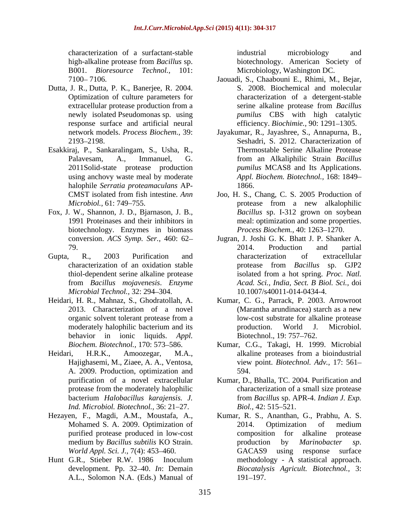B001. *Bioresource Technol.,* 101:

- Dutta, J. R., Dutta, P. K., Banerjee, R. 2004.
- Esakkiraj, P., Sankaralingam, S., Usha, R., 2011Solid-state protease production using anchovy waste meal by moderate halophile *Serratia proteamaculans* AP-
- Fox, J. W., Shannon, J. D., Bjarnason, J. B., biotechnology. Enzymes in biomass
- from *Bacillus mojavenesis*. *Enzyme Microbial Technol., 32: 294-304.*
- behavior in ionic liquids. *Appl.* Biotechnol, 19:757–762.
- A. 2009. Production, optimization and *Ind. Microbiol. Biotechnol.,* 36: 21–27. *Biol., 42: 515–521.*
- 
- Hunt G.R., Stieber R.W. 1986 Inoculum A.L., Solomon N.A. (Eds.) Manual of

characterization of a surfactant-stable high-alkaline protease from *Bacillus* sp. industrial microbiology and biotechnology. American Society of Microbiology, Washington DC.

- 7100 7106. Jaouadi, S., Chaabouni E., Rhimi, M., Bejar, Optimization of culture parameters for characterization of a detergent-stable extracellular protease production from a serine alkaline protease from *Bacillus* newly isolated Pseudomonas sp. using *pumilus* CBS with high catalytic response surface and artificial neural efficiency. *Biochimie.*, 90: 1291–1305. S. 2008. Biochemical and molecular serine alkaline protease from *Bacillus*
- network models. *Process Biochem.,* 39: Jayakumar, R., Jayashree, S., Annapurna, B., 2193 2198. Seshadri, S. 2012. Characterization of Palavesam, A., Immanuel, G. 6. from an Alkaliphilic Strain *Bacillus* Thermostable Serine Alkaline Protease from an Alkaliphilic Strain *Bacillus pumilus* MCAS8 and Its Applications. *Appl. Biochem. Biotechnol.,* 168: 1849 1866.
- CMST isolated from fish intestine. *Ann*  Joo, H. S., Chang, C. S. 2005 Production of *Microbiol.,* 61: 749–755. The protesse from a new alkalophilic 1991 Proteinases and their inhibitors in meal: optimization and some properties. protease from a new alkalophilic *Bacillus* sp. I-312 grown on soybean *Process Biochem., 40: 1263-1270.*
- conversion. *ACS Symp. Ser.,* 460: 62 Jugran, J. Joshi G. K. Bhatt J. P. Shanker A. 79. 2014. Production and partial Gupta, R., 2003 Purification and characterization of an oxidation stable **being the protease** from *Bacillus* sp. GJP2 thiol-dependent serine alkaline protease isolated from a hot spring. *Proc. Natl.* 2014. Production and partial characterization of extracellular protease from *Bacillus* sp. GJP2 isolated from a hot spring. *Proc. Natl. Acad. Sci., India, Sect. B Biol. Sci.,* doi 10.1007/s40011-014-0434-4.
- Heidari*,* H. R., Mahnaz, S., Ghodratollah, A. Kumar, C. G., Parrack, P. 2003. Arrowroot 2013. Characterization of a novel organic solvent tolerant protease from a moderately halophilic bacterium and its **production**. World J. Microbiol. (Marantha arundinacea) starch as a new low-cost substrate for alkaline protease production. World J. Microbiol. Biotechnol., 19: 757–762.
- *Biochem. Biotechnol.,* 170: 573 586. Kumar, C.G., Takagi, H. 1999. Microbial Heidari, H.R.K., Amoozegar, M.A., alkaline proteases from a bioindustrial Hajighasemi, M., Ziaee, A. A., Ventosa, view point. *Biotechnol. Adv.,* 17: 561 594.
	- purification of a novel extracellular Kumar, D., Bhalla, TC. 2004. Purification and protease from the moderately halophilic characterization of a small size protease bacterium *Halobacillus karajensis. J.*  from *Bacillus* sp. APR-4. *Indian J. Exp.* characterization of a small size protease *Biol.,* 42: 515–521.
- Hezayen, F., Magdi, A.M., Moustafa, A., Kumar, R. S., Ananthan, G., Prabhu, A. S. Mohamed S. A. 2009. Optimization of 2014. Optimization of medium purified protease produced in low-cost medium by *Bacillus subtilis* KO Strain. The production by *Marinobacter* sp. *World Appl. Sci. J., 7(4): 453–460.* **GACAS9** using response surface development. Pp. 32 40. *In*: Demain *Biocatalysis Agricult. Biotechnol.,* 3: 2014. Optimization of medium composition for alkaline protease production by *Marinobacter sp*. GACAS9 using response surface methodology - A statistical approach. 191–197.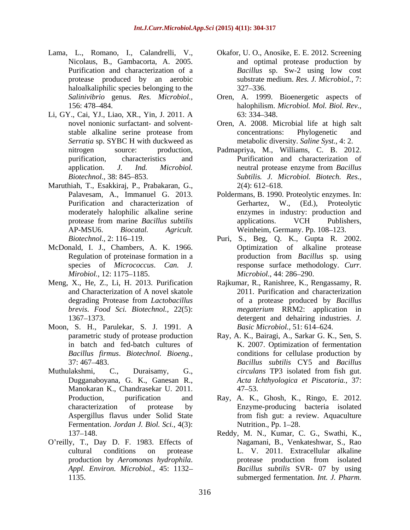- Lama, L., Romano, I., Calandrelli, V., Okafor, U. O., Anosike, E. E. 2012. Screening haloalkaliphilic species belonging to the 327–336.
- Li, GY., Cai, YJ., Liao, XR., Yin, J. 2011. A *Serratia* sp. SYBC H with duckweed as
- Maruthiah, T., Esakkiraj, P., Prabakaran, G.,
- 
- 
- Moon, S. H., Parulekar, S. J. 1991. A *Bacillus firmus*. *Biotechnol. Bioeng.,*
- Muthulakshmi, C., Duraisamy, G., *circulans* TP3 isolated from fish gut. Manokaran K., Chandrasekar U. 2011. Fermentation. *Jordan J. Biol. Sci.,* 4(3):
- O reilly, T., Day D. F. 1983. Effects of
- Nicolaus, B., Gambacorta, A. 2005. <br>and optimal protease production by Purification and characterization of a Bacillus sp. Sw-2 using low cost protease produced by an aerobic substrate medium. *Res. J. Microbiol.,* 7: *Bacillus* sp. Sw-2 using low cost 327 336.
- *Salinivibrio* genus. *Res. Microbiol.,* Oren, A. 1999. Bioenergetic aspects of 156: 478 484. halophilism. *Microbiol. Mol. Biol. Rev.,* 63: 334–348.
- novel nonionic surfactant- and solvent- Oren, A. 2008. Microbial life at high salt stable alkaline serine protease from concentrations: Phylogenetic and concentrations: Phylogenetic and metabolic diversity. *Saline Syst.,* 4: 2.
- nitrogen source: production, Padmapriya, M., Williams, C. B. 2012. purification, characteristics and Purification and characterization of application. *J. Ind. Microbiol. Biotechnol.,* 38: 845 853. *Subtilis. J. Microbiol. Biotech. Res.,* neutral protease enzyme from *Bacillus*
- Palavesam, A., Immanuel G. 2013. Purification and characterization of Gerhartez, W., (Ed.), Proteolytic moderately halophilic alkaline serine enzymes in industry: production and protease from marine *Bacillus subtilis* AP-MSU6. *Biocatal. Agricult.* Weinheim, Germany. Pp. 108–123. 2(4): 612–618.<br>Poldermans, B. 1990. Proteolytic enzymes. In: Gerhartez, W., (Ed.), Proteolytic applications. VCH Publishers,
- *Biotechnol.,* 2: 116 119. Puri, S., Beg, Q. K., Gupta R. 2002. McDonald, I. J., Chambers, A. K. 1966. Optimization of alkaline protease Regulation of proteinase formation in a broduction from *Bacillus* sp. using species of *Micrococcus*. *Can. J.* response surface methodology. *Curr. Mirobiol.,* 12: 1175–1185. *Microbiol.,* 44: 286–290. production from *Bacillus* sp. using *Microbiol.,* 44: 286–290.
- Meng, X., He, Z., Li, H. 2013. Purification Rajkumar, R., Ranishree, K., Rengassamy, R. and Characterization of A novel skatole degrading Protease from *Lactobacillus brevis*. *Food Sci. Biotechnol.,* 22(5): *megaterium* RRM2: application in 1367 1373. detergent and dehairing industries. *J.*  2011. Purification and characterization of a protease produced by *Bacillus Basic Microbiol.,* 51: 614–624.
	- parametric study of protease production Ray, A. K., Bairagi, A., Sarkar G. K., Sen, S. in batch and fed-batch cultures of K. 2007. Optimization of fermentation 37: 467 483. *Bacillus subtilis* CY5 and *Bacillus*  Dugganaboyana, G. K., Ganesan R., *Acta Ichthyologica et Piscatoria.,* 37: conditions for cellulase production by *circulans* TP3 isolated from fish gut. 47 53.
	- Production, purification and Ray, A. K., Ghosh, K., Ringo, E. 2012. characterization of protease by Enzyme-producing bacteria isolated Aspergillus flavus under Solid State from fish gut: a review. Aquaculture Nutrition., Pp. 1–28.
	- 137 148. Reddy, M. N., Kumar, C. G., Swathi, K., cultural conditions on protease L. V. 2011. Extracellular alkaline production by *Aeromonas hydrophila*. *Appl. Environ. Microbiol.,* 45: 1132 *Bacillus subtilis* SVR- 07 by using 1135. submerged fermentation. *Int. J. Pharm.*Nagamani, B., Venkateshwar, S., Rao protease production from isolated